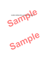**SAMPLE OPERATING AGREEMENT FOR PLLC**